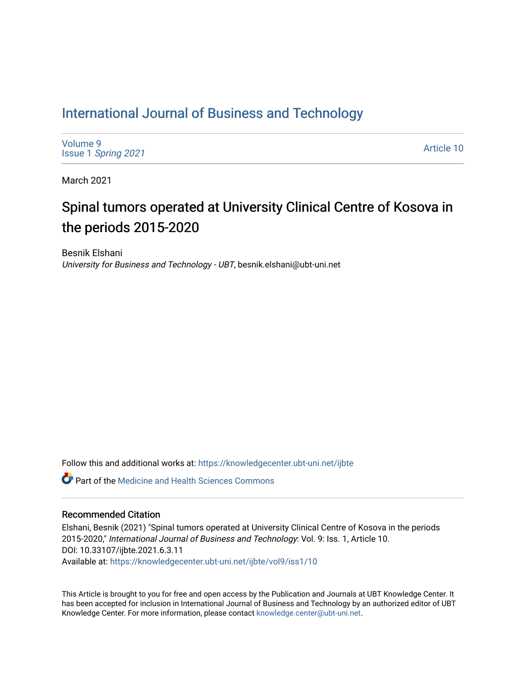# [International Journal of Business and Technology](https://knowledgecenter.ubt-uni.net/ijbte)

[Volume 9](https://knowledgecenter.ubt-uni.net/ijbte/vol9) Issue 1 [Spring 2021](https://knowledgecenter.ubt-uni.net/ijbte/vol9/iss1) 

[Article 10](https://knowledgecenter.ubt-uni.net/ijbte/vol9/iss1/10) 

March 2021

# Spinal tumors operated at University Clinical Centre of Kosova in the periods 2015-2020

Besnik Elshani University for Business and Technology - UBT, besnik.elshani@ubt-uni.net

Follow this and additional works at: [https://knowledgecenter.ubt-uni.net/ijbte](https://knowledgecenter.ubt-uni.net/ijbte?utm_source=knowledgecenter.ubt-uni.net%2Fijbte%2Fvol9%2Fiss1%2F10&utm_medium=PDF&utm_campaign=PDFCoverPages) 

**P** Part of the Medicine and Health Sciences Commons

#### Recommended Citation

Elshani, Besnik (2021) "Spinal tumors operated at University Clinical Centre of Kosova in the periods 2015-2020," International Journal of Business and Technology: Vol. 9: Iss. 1, Article 10. DOI: 10.33107/ijbte.2021.6.3.11 Available at: [https://knowledgecenter.ubt-uni.net/ijbte/vol9/iss1/10](https://knowledgecenter.ubt-uni.net/ijbte/vol9/iss1/10?utm_source=knowledgecenter.ubt-uni.net%2Fijbte%2Fvol9%2Fiss1%2F10&utm_medium=PDF&utm_campaign=PDFCoverPages) 

This Article is brought to you for free and open access by the Publication and Journals at UBT Knowledge Center. It has been accepted for inclusion in International Journal of Business and Technology by an authorized editor of UBT Knowledge Center. For more information, please contact [knowledge.center@ubt-uni.net](mailto:knowledge.center@ubt-uni.net).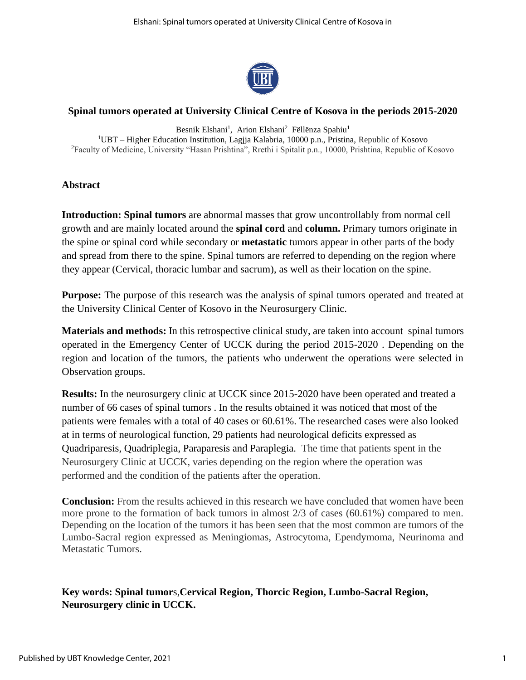

# **Spinal tumors operated at University Clinical Centre of Kosova in the periods 2015-2020**

Besnik Elshani<sup>1</sup>, Arion Elshani<sup>2</sup> Fëllënza Spahiu<sup>1</sup> <sup>1</sup>UBT – Higher Education Institution, Lagjja Kalabria, 10000 p.n., Pristina, Republic of Kosovo <sup>2</sup>Faculty of Medicine, University "Hasan Prishtina", Rrethi i Spitalit p.n., 10000, Prishtina, Republic of Kosovo

#### **Abstract**

**Introduction: Spinal tumors** are abnormal masses that grow uncontrollably from normal cell growth and are mainly located around the **spinal cord** and **column.** Primary tumors originate in the spine or spinal cord while secondary or **metastatic** tumors appear in other parts of the body and spread from there to the spine. Spinal tumors are referred to depending on the region where they appear (Cervical, thoracic lumbar and sacrum), as well as their location on the spine.

**Purpose:** The purpose of this research was the analysis of spinal tumors operated and treated at the University Clinical Center of Kosovo in the Neurosurgery Clinic.

**Materials and methods:** In this retrospective clinical study, are taken into account spinal tumors operated in the Emergency Center of UCCK during the period 2015-2020 . Depending on the region and location of the tumors, the patients who underwent the operations were selected in Observation groups.

**Results:** In the neurosurgery clinic at UCCK since 2015-2020 have been operated and treated a number of 66 cases of spinal tumors . In the results obtained it was noticed that most of the patients were females with a total of 40 cases or 60.61%. The researched cases were also looked at in terms of neurological function, 29 patients had neurological deficits expressed as Quadriparesis, Quadriplegia, Paraparesis and Paraplegia. The time that patients spent in the Neurosurgery Clinic at UCCK, varies depending on the region where the operation was performed and the condition of the patients after the operation.

**Conclusion:** From the results achieved in this research we have concluded that women have been more prone to the formation of back tumors in almost 2/3 of cases (60.61%) compared to men. Depending on the location of the tumors it has been seen that the most common are tumors of the Lumbo-Sacral region expressed as Meningiomas, Astrocytoma, Ependymoma, Neurinoma and Metastatic Tumors.

# **Key words: [Spinal tumor](http://www.ncbi.nlm.nih.gov/pubmedhealth/PMH0002376/)**s,**Cervical Region, Thorcic Region, Lumbo-Sacral Region, Neurosurgery clinic in UCCK.**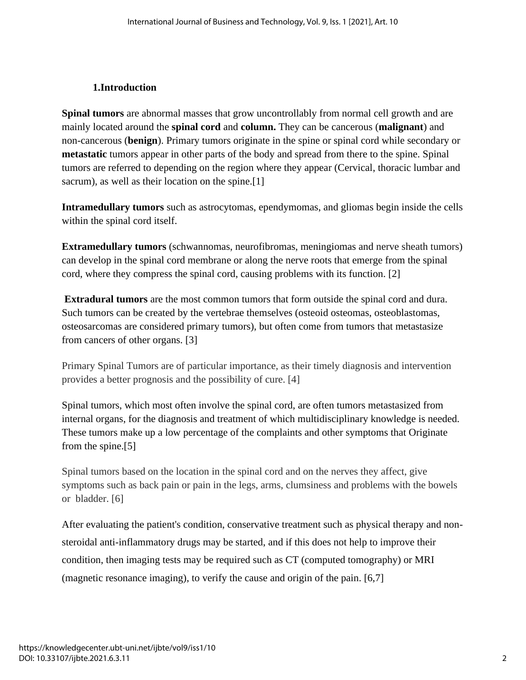# **1.Introduction**

**Spinal tumors** are abnormal masses that grow uncontrollably from normal cell growth and are mainly located around the **spinal cord** and **column.** They can be cancerous (**malignant**) and non-cancerous (**benign**). Primary tumors originate in the spine or spinal cord while secondary or **metastatic** tumors appear in other parts of the body and spread from there to the spine. Spinal tumors are referred to depending on the region where they appear (Cervical, thoracic lumbar and sacrum), as well as their location on the spine.<sup>[1]</sup>

**Intramedullary tumors** such as astrocytomas, ependymomas, and gliomas begin inside the cells within the spinal cord itself.

**Extramedullary tumors** (schwannomas, neurofibromas, meningiomas and nerve sheath tumors) can develop in the spinal cord membrane or along the nerve roots that emerge from the spinal cord, where they compress the spinal cord, causing problems with its function. [2]

**Extradural tumors** are the most common tumors that form outside the spinal cord and dura. Such tumors can be created by the vertebrae themselves (osteoid osteomas, osteoblastomas, osteosarcomas are considered primary tumors), but often come from tumors that metastasize from cancers of other organs. [3]

Primary Spinal Tumors are of particular importance, as their timely diagnosis and intervention provides a better prognosis and the possibility of cure. [4]

Spinal tumors, which most often involve the spinal cord, are often tumors metastasized from internal organs, for the diagnosis and treatment of which multidisciplinary knowledge is needed. These tumors make up a low percentage of the complaints and other symptoms that Originate from the spine.[5]

Spinal tumors based on the location in the spinal cord and on the nerves they affect, give symptoms such as back pain or pain in the legs, arms, clumsiness and problems with the bowels or bladder. [6]

After evaluating the patient's condition, conservative treatment such as physical therapy and nonsteroidal anti-inflammatory drugs may be started, and if this does not help to improve their condition, then imaging tests may be required such as CT (computed tomography) or MRI (magnetic resonance imaging), to verify the cause and origin of the pain. [6,7]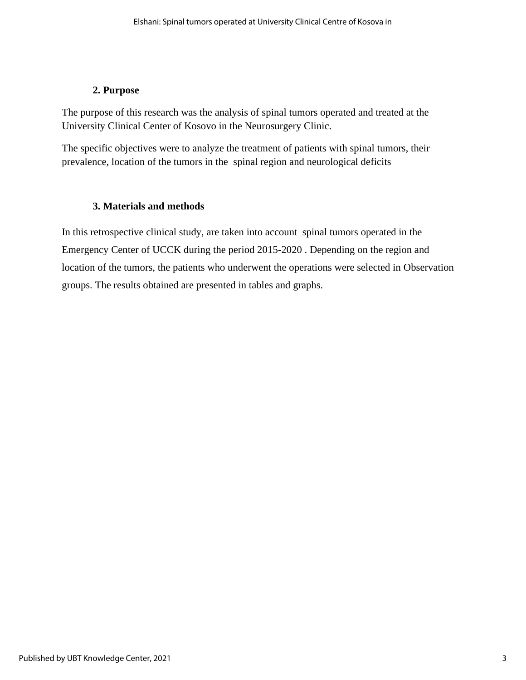# **2. Purpose**

The purpose of this research was the analysis of spinal tumors operated and treated at the University Clinical Center of Kosovo in the Neurosurgery Clinic.

The specific objectives were to analyze the treatment of patients with spinal tumors, their prevalence, location of the tumors in the spinal region and neurological deficits

# **3. Materials and methods**

In this retrospective clinical study, are taken into account spinal tumors operated in the Emergency Center of UCCK during the period 2015-2020 . Depending on the region and location of the tumors, the patients who underwent the operations were selected in Observation groups. The results obtained are presented in tables and graphs.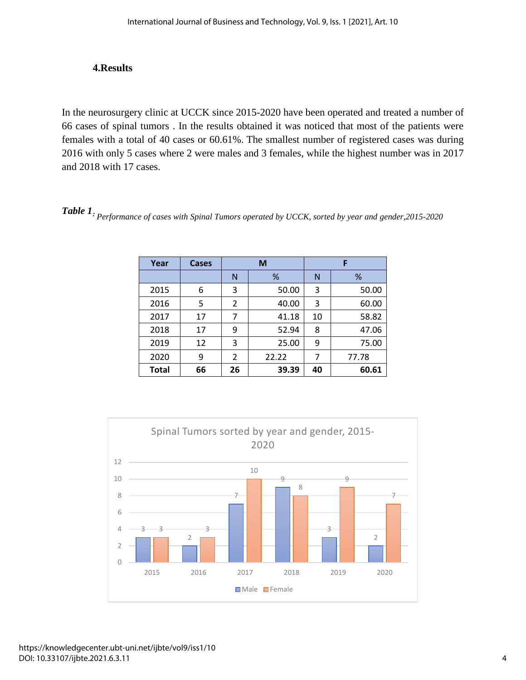## **4.Results**

In the neurosurgery clinic at UCCK since 2015-2020 have been operated and treated a number of 66 cases of spinal tumors . In the results obtained it was noticed that most of the patients were females with a total of 40 cases or 60.61%. The smallest number of registered cases was during 2016 with only 5 cases where 2 were males and 3 females, while the highest number was in 2017 and 2018 with 17 cases.

*Table 1: Performance of cases with Spinal Tumors operated by UCCK, sorted by year and gender,2015-2020*

| Year         | Cases |    | M     |    | F     |  |  |  |
|--------------|-------|----|-------|----|-------|--|--|--|
|              |       | N  | %     | N  | %     |  |  |  |
| 2015         | 6     | 3  | 50.00 | 3  | 50.00 |  |  |  |
| 2016         | 5     | 2  | 40.00 | 3  | 60.00 |  |  |  |
| 2017         | 17    | 7  | 41.18 | 10 | 58.82 |  |  |  |
| 2018         | 17    | 9  | 52.94 | 8  | 47.06 |  |  |  |
| 2019         | 12    | 3  | 25.00 | 9  | 75.00 |  |  |  |
| 2020         | 9     | 2  | 22.22 | 7  | 77.78 |  |  |  |
| <b>Total</b> | 66    | 26 | 39.39 | 40 | 60.61 |  |  |  |

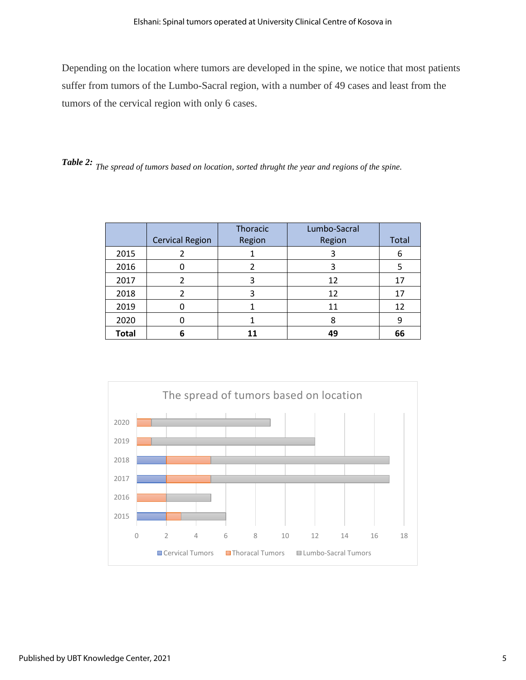Depending on the location where tumors are developed in the spine, we notice that most patients suffer from tumors of the Lumbo-Sacral region, with a number of 49 cases and least from the tumors of the cervical region with only 6 cases.

*Table 2: The spread of tumors based on location, sorted thrught the year and regions of the spine.*

|              |                        | Thoracic | Lumbo-Sacral |       |
|--------------|------------------------|----------|--------------|-------|
|              | <b>Cervical Region</b> | Region   | Region       | Total |
| 2015         |                        |          | 3            | 6     |
| 2016         |                        |          | 3            | 5     |
| 2017         | 2                      | 3        | 12           | 17    |
| 2018         |                        |          | 12           | 17    |
| 2019         |                        |          | 11           | 12    |
| 2020         |                        |          | 8            | 9     |
| <b>Total</b> | 6                      |          | 49           | 66    |

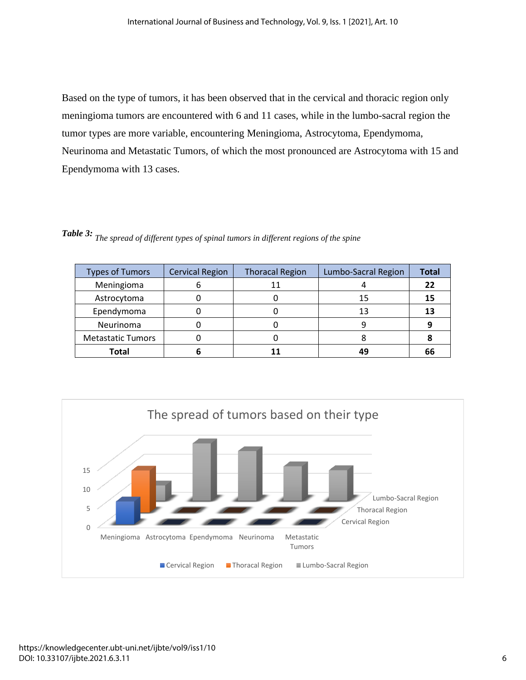Based on the type of tumors, it has been observed that in the cervical and thoracic region only meningioma tumors are encountered with 6 and 11 cases, while in the lumbo-sacral region the tumor types are more variable, encountering Meningioma, Astrocytoma, Ependymoma, Neurinoma and Metastatic Tumors, of which the most pronounced are Astrocytoma with 15 and Ependymoma with 13 cases.

| <b>Types of Tumors</b>   | <b>Cervical Region</b> | <b>Thoracal Region</b> | Lumbo-Sacral Region | <b>Total</b> |
|--------------------------|------------------------|------------------------|---------------------|--------------|
| Meningioma               |                        | 11                     |                     | 22           |
| Astrocytoma              |                        |                        | 15                  | 15           |
| Ependymoma               |                        |                        |                     |              |
| Neurinoma                |                        |                        |                     |              |
| <b>Metastatic Tumors</b> |                        |                        |                     |              |
| <b>Total</b>             |                        |                        | 49                  | 66           |

*Table 3: The spread of different types of spinal tumors in different regions of the spine*

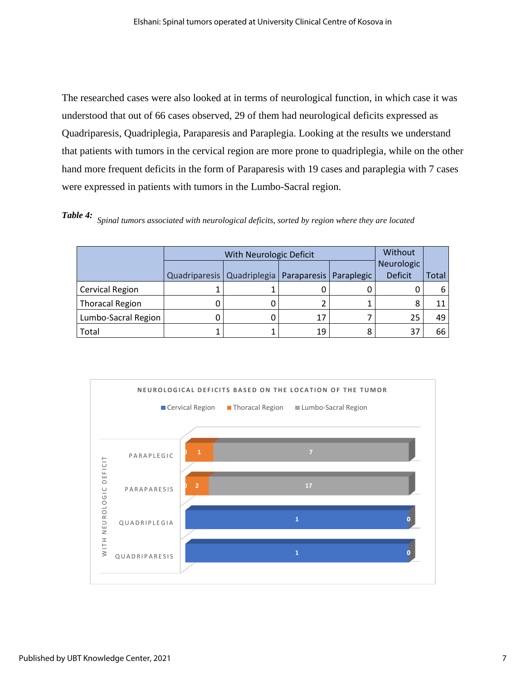The researched cases were also looked at in terms of neurological function, in which case it was understood that out of 66 cases observed, 29 of them had neurological deficits expressed as Quadriparesis, Quadriplegia, Paraparesis and Paraplegia. Looking at the results we understand that patients with tumors in the cervical region are more prone to quadriplegia, while on the other hand more frequent deficits in the form of Paraparesis with 19 cases and paraplegia with 7 cases were expressed in patients with tumors in the Lumbo-Sacral region.

*Table 4: Spinal tumors associated with neurological deficits, sorted by region where they are located*

|                        |                              | Without                  |  |                |       |
|------------------------|------------------------------|--------------------------|--|----------------|-------|
|                        |                              |                          |  | Neurologic     |       |
|                        | Quadriparesis   Quadriplegia | Paraparesis   Paraplegic |  | <b>Deficit</b> | Total |
| <b>Cervical Region</b> |                              |                          |  |                | 6     |
| <b>Thoracal Region</b> |                              |                          |  | 8              | 11    |
| Lumbo-Sacral Region    |                              |                          |  | 25             | 49    |
| Total                  |                              | 19                       |  | 37             | 66    |

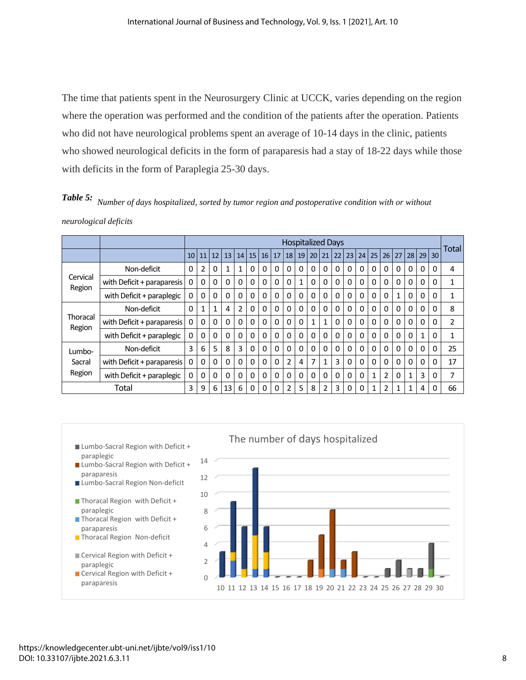The time that patients spent in the Neurosurgery Clinic at UCCK, varies depending on the region where the operation was performed and the condition of the patients after the operation. Patients who did not have neurological problems spent an average of 10-14 days in the clinic, patients who showed neurological deficits in the form of paraparesis had a stay of 18-22 days while those with deficits in the form of Paraplegia 25-30 days.

*Table 5: Number of days hospitalized, sorted by tumor region and postoperative condition with or without neurological deficits*

|                            |                            |          | <b>Hospitalized Days</b> |              |          |                |          |          |          |                 |              |          |    |          | Total    |                 |                 |                 |              |                |              |                 |                |
|----------------------------|----------------------------|----------|--------------------------|--------------|----------|----------------|----------|----------|----------|-----------------|--------------|----------|----|----------|----------|-----------------|-----------------|-----------------|--------------|----------------|--------------|-----------------|----------------|
|                            |                            | 10       | 11                       | 12           | 13       | 14             | 15       | 16       | 17       | 18 <sup>1</sup> | 19           | 20       | 21 | 22       | 23       | 24 <sup>1</sup> | 25 <sub>1</sub> | 26 <sup>1</sup> |              | $27$   28   29 |              | 30 <sup>2</sup> |                |
|                            | Non-deficit                | 0        | 2                        | 0            |          | 1              | 0        | 0        | 0        | 0               | 0            | 0        | 0  | 0        | 0        | 0               | 0               | 0               | 0            | $\Omega$       | 0            | $\Omega$        | $\overline{4}$ |
| Cervical<br>Region         | with Deficit + paraparesis | 0        | 0                        | 0            | $\Omega$ | 0              | 0        | 0        | 0        | 0               | $\mathbf{1}$ | 0        | 0  | 0        | 0        | 0               | 0               | 0               | 0            | $\Omega$       | 0            | $\Omega$        | 1              |
|                            | with Deficit + paraplegic  | 0        | 0                        | 0            | 0        | 0              | 0        | $\Omega$ | 0        | $\Omega$        | 0            | 0        | 0  | $\Omega$ | $\Omega$ | 0               | $\Omega$        | $\Omega$        | $\mathbf{1}$ | $\Omega$       | 0            | $\Omega$        | 1              |
| Thoracal<br>Region         | Non-deficit                | $\Omega$ | $\mathbf{1}$             | $\mathbf{1}$ | 4        | $\overline{2}$ | 0        | $\Omega$ | $\Omega$ | $\Omega$        | $\Omega$     | 0        | 0  | $\Omega$ | 0        | $\Omega$        | $\Omega$        | $\Omega$        | $\Omega$     | 0              | $\Omega$     | $\Omega$        | 8              |
|                            | with Deficit + paraparesis | 0        | 0                        | 0            | 0        | $\Omega$       | 0        | $\Omega$ | $\Omega$ | $\Omega$        | $\Omega$     | 1        | 1  | $\Omega$ | 0        | 0               | $\Omega$        | $\Omega$        | $\Omega$     | 0              | 0            | $\Omega$        | 2              |
|                            | with Deficit + paraplegic  | 0        | 0                        | $\Omega$     | 0        | $\Omega$       | 0        | $\Omega$ | $\Omega$ | $\Omega$        | $\Omega$     | $\Omega$ | 0  | $\Omega$ | 0        | 0               | 0               | $\Omega$        | $\Omega$     | $\Omega$       | $\mathbf{1}$ | $\Omega$        | 1              |
| Lumbo-<br>Sacral<br>Region | Non-deficit                | 3        | 6                        | 5            | 8        | 3              | 0        | $\Omega$ | 0        | 0               | $\Omega$     | $\Omega$ | 0  | 0        | 0        | <sup>0</sup>    | $\Omega$        | $\Omega$        | $\Omega$     | 0              | 0            | O               | 25             |
|                            | with Deficit + paraparesis | 0        | $\Omega$                 | $\Omega$     | O        | $\Omega$       | $\Omega$ | $\Omega$ | $\Omega$ | $\overline{2}$  | 4            | 7        | 1  | 3        | 0        | 0               | $\Omega$        | $\Omega$        | $\Omega$     | $\Omega$       | $\Omega$     | O               | 17             |
|                            | with Deficit + paraplegic  | 0        | 0                        | 0            | 0        | 0              | 0        | 0        | 0        | 0               | 0            | 0        | 0  | 0        | 0        | 0               | 1               | $\overline{2}$  | $\Omega$     | $\mathbf{1}$   | 3            | 0               | 7              |
| Total                      |                            | 3        | 9                        | 6            | 13       | 6              | 0        | 0        | 0        | $\overline{2}$  | 5            | 8        | 2  | 3        | 0        |                 | 1               | 2               | 1            | 1              | 4            |                 | 66             |



# https://knowledgecenter.ubt-uni.net/ijbte/vol9/iss1/10 DOI: 10.33107/ijbte.2021.6.3.11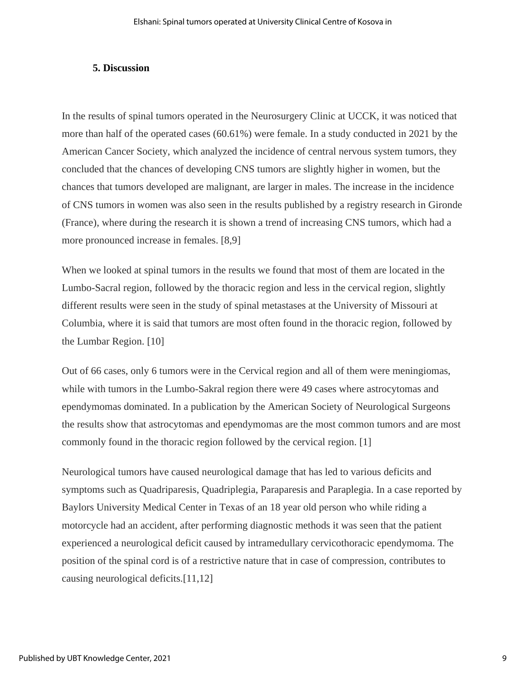# **5. Discussion**

In the results of spinal tumors operated in the Neurosurgery Clinic at UCCK, it was noticed that more than half of the operated cases (60.61%) were female. In a study conducted in 2021 by the American Cancer Society, which analyzed the incidence of central nervous system tumors, they concluded that the chances of developing CNS tumors are slightly higher in women, but the chances that tumors developed are malignant, are larger in males. The increase in the incidence of CNS tumors in women was also seen in the results published by a registry research in Gironde (France), where during the research it is shown a trend of increasing CNS tumors, which had a more pronounced increase in females. [8,9]

When we looked at spinal tumors in the results we found that most of them are located in the Lumbo-Sacral region, followed by the thoracic region and less in the cervical region, slightly different results were seen in the study of spinal metastases at the University of Missouri at Columbia, where it is said that tumors are most often found in the thoracic region, followed by the Lumbar Region. [10]

Out of 66 cases, only 6 tumors were in the Cervical region and all of them were meningiomas, while with tumors in the Lumbo-Sakral region there were 49 cases where astrocytomas and ependymomas dominated. In a publication by the American Society of Neurological Surgeons the results show that astrocytomas and ependymomas are the most common tumors and are most commonly found in the thoracic region followed by the cervical region. [1]

Neurological tumors have caused neurological damage that has led to various deficits and symptoms such as Quadriparesis, Quadriplegia, Paraparesis and Paraplegia. In a case reported by Baylors University Medical Center in Texas of an 18 year old person who while riding a motorcycle had an accident, after performing diagnostic methods it was seen that the patient experienced a neurological deficit caused by intramedullary cervicothoracic ependymoma. The position of the spinal cord is of a restrictive nature that in case of compression, contributes to causing neurological deficits.[11,12]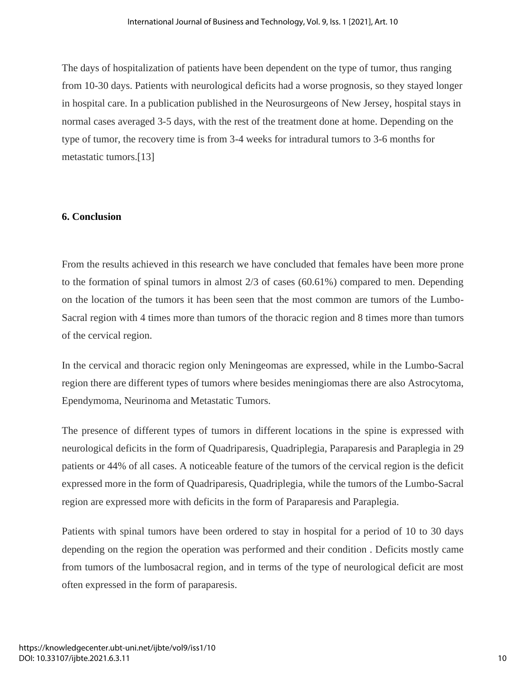The days of hospitalization of patients have been dependent on the type of tumor, thus ranging from 10-30 days. Patients with neurological deficits had a worse prognosis, so they stayed longer in hospital care. In a publication published in the Neurosurgeons of New Jersey, hospital stays in normal cases averaged 3-5 days, with the rest of the treatment done at home. Depending on the type of tumor, the recovery time is from 3-4 weeks for intradural tumors to 3-6 months for metastatic tumors.[13]

# **6. Conclusion**

From the results achieved in this research we have concluded that females have been more prone to the formation of spinal tumors in almost 2/3 of cases (60.61%) compared to men. Depending on the location of the tumors it has been seen that the most common are tumors of the Lumbo-Sacral region with 4 times more than tumors of the thoracic region and 8 times more than tumors of the cervical region.

In the cervical and thoracic region only Meningeomas are expressed, while in the Lumbo-Sacral region there are different types of tumors where besides meningiomas there are also Astrocytoma, Ependymoma, Neurinoma and Metastatic Tumors.

The presence of different types of tumors in different locations in the spine is expressed with neurological deficits in the form of Quadriparesis, Quadriplegia, Paraparesis and Paraplegia in 29 patients or 44% of all cases. A noticeable feature of the tumors of the cervical region is the deficit expressed more in the form of Quadriparesis, Quadriplegia, while the tumors of the Lumbo-Sacral region are expressed more with deficits in the form of Paraparesis and Paraplegia.

Patients with spinal tumors have been ordered to stay in hospital for a period of 10 to 30 days depending on the region the operation was performed and their condition . Deficits mostly came from tumors of the lumbosacral region, and in terms of the type of neurological deficit are most often expressed in the form of paraparesis.